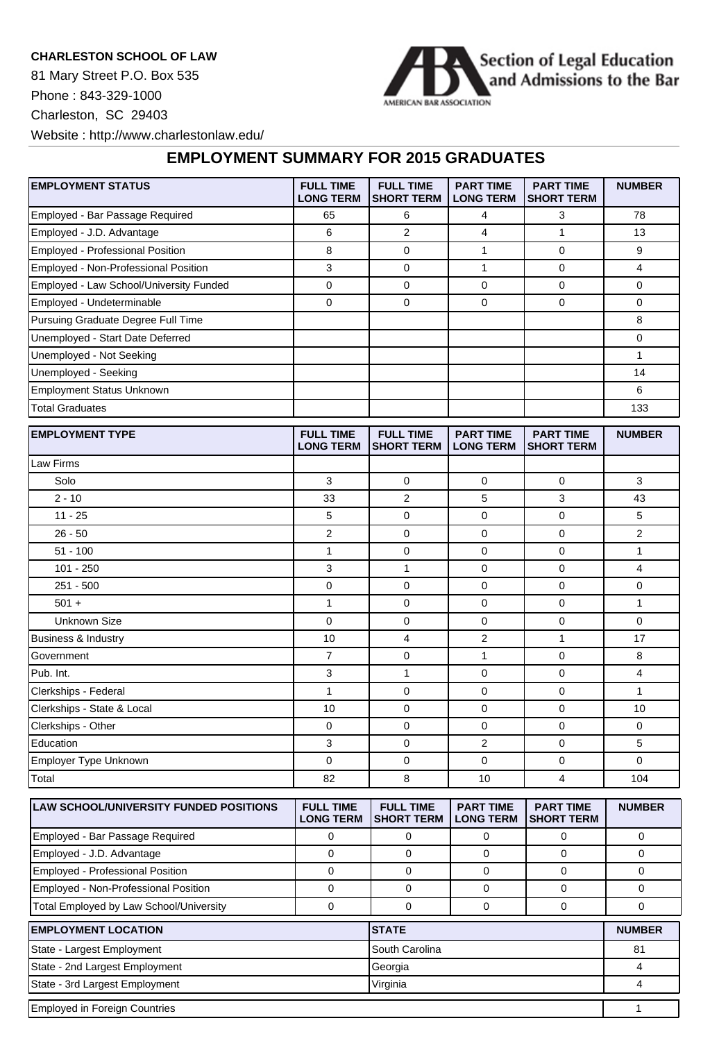## **CHARLESTON SCHOOL OF LAW**

81 Mary Street P.O. Box 535 Phone : 843-329-1000 Charleston, SC 29403



Website : http://www.charlestonlaw.edu/

## **EMPLOYMENT SUMMARY FOR 2015 GRADUATES**

| <b>EMPLOYMENT STATUS</b>                      | <b>FULL TIME</b><br><b>LONG TERM</b> | <b>FULL TIME</b><br><b>SHORT TERM</b> | <b>PART TIME</b><br><b>LONG TERM</b> | <b>PART TIME</b><br><b>SHORT TERM</b> | <b>NUMBER</b>           |
|-----------------------------------------------|--------------------------------------|---------------------------------------|--------------------------------------|---------------------------------------|-------------------------|
| Employed - Bar Passage Required               | 65                                   | 6                                     | 4                                    | 3                                     | 78                      |
| Employed - J.D. Advantage                     | 6                                    | 2                                     | $\overline{4}$                       | $\mathbf{1}$                          | 13                      |
| Employed - Professional Position              | 8                                    | 0                                     | 1                                    | 0                                     | 9                       |
| Employed - Non-Professional Position          | $\mathsf 3$                          | 0                                     | $\mathbf{1}$                         | 0                                     | $\overline{\mathbf{4}}$ |
| Employed - Law School/University Funded       | $\mathbf 0$                          | 0                                     | $\mathbf 0$                          | 0                                     | 0                       |
| Employed - Undeterminable                     | $\mathbf 0$                          | 0                                     | $\mathbf 0$                          | 0                                     | 0                       |
| Pursuing Graduate Degree Full Time            |                                      |                                       |                                      |                                       | 8                       |
| Unemployed - Start Date Deferred              |                                      |                                       |                                      |                                       | 0                       |
| Unemployed - Not Seeking                      |                                      |                                       |                                      |                                       | 1                       |
| Unemployed - Seeking                          |                                      |                                       |                                      |                                       | 14                      |
| <b>Employment Status Unknown</b>              |                                      |                                       |                                      |                                       | 6                       |
| <b>Total Graduates</b>                        |                                      |                                       |                                      |                                       | 133                     |
| <b>EMPLOYMENT TYPE</b>                        | <b>FULL TIME</b><br><b>LONG TERM</b> | <b>FULL TIME</b><br><b>SHORT TERM</b> | <b>PART TIME</b><br><b>LONG TERM</b> | <b>PART TIME</b><br><b>SHORT TERM</b> | <b>NUMBER</b>           |
| Law Firms                                     |                                      |                                       |                                      |                                       |                         |
| Solo                                          | 3                                    | 0                                     | $\mathbf 0$                          | 0                                     | 3                       |
| $2 - 10$                                      | 33                                   | 2                                     | 5                                    | 3                                     | 43                      |
| $11 - 25$                                     | 5                                    | 0                                     | $\mathbf 0$                          | 0                                     | 5                       |
| $26 - 50$                                     | $\overline{2}$                       | 0                                     | $\mathbf 0$                          | 0                                     | $\overline{2}$          |
| $51 - 100$                                    | $\mathbf{1}$                         | 0                                     | $\mathbf 0$                          | 0                                     | $\mathbf{1}$            |
| 101 - 250                                     | 3                                    | $\mathbf{1}$                          | $\mathbf 0$                          | 0                                     | $\overline{\mathbf{4}}$ |
| $251 - 500$                                   | $\mathbf 0$                          | 0                                     | $\mathbf 0$                          | 0                                     | 0                       |
| $501 +$                                       | $\mathbf{1}$                         | 0                                     | $\mathbf 0$                          | 0                                     | 1                       |
| <b>Unknown Size</b>                           | $\mathbf 0$                          | 0                                     | $\mathbf 0$                          | 0                                     | 0                       |
| Business & Industry                           | 10                                   | 4                                     | $\overline{2}$                       | $\mathbf{1}$                          | 17                      |
| Government                                    | $\boldsymbol{7}$                     | 0                                     | 1                                    | 0                                     | 8                       |
| Pub. Int.                                     | 3                                    | $\mathbf{1}$                          | $\mathbf 0$                          | 0                                     | 4                       |
| Clerkships - Federal                          | $\mathbf{1}$                         | 0                                     | $\mathbf 0$                          | 0                                     | $\mathbf{1}$            |
| Clerkships - State & Local                    | 10                                   | 0                                     | $\mathbf 0$                          | 0                                     | 10                      |
| Clerkships - Other                            | 0                                    | 0                                     | 0                                    | 0                                     | 0                       |
| Education                                     | 3                                    | 0                                     | $\sqrt{2}$                           | 0                                     | 5                       |
| Employer Type Unknown                         | $\mathbf 0$                          | 0                                     | $\mathbf 0$                          | 0                                     | 0                       |
| Total                                         | 82                                   | 8                                     | 10                                   | $\overline{4}$                        | 104                     |
| <b>LAW SCHOOL/UNIVERSITY FUNDED POSITIONS</b> | <b>FULL TIME</b>                     | <b>FULL TIME</b>                      | <b>PART TIME</b>                     | <b>PART TIME</b>                      | <b>NUMBER</b>           |

| <b>ILAW SCHOOL/UNIVERSITY FUNDED POSITIONS</b> | <b>FULL TIME</b><br><b>LONG TERM</b> | <b>FULL TIME</b><br><b>SHORT TERM</b> | <b>PART TIME</b><br><b>LONG TERM</b> | <b>PART TIME</b><br>ISHORT TERM | <b>NUMBER</b> |
|------------------------------------------------|--------------------------------------|---------------------------------------|--------------------------------------|---------------------------------|---------------|
| Employed - Bar Passage Required                |                                      |                                       |                                      |                                 |               |
| Employed - J.D. Advantage                      |                                      |                                       |                                      |                                 |               |
| <b>Employed - Professional Position</b>        |                                      |                                       |                                      |                                 |               |
| Employed - Non-Professional Position           |                                      |                                       |                                      |                                 |               |
| Total Employed by Law School/University        |                                      |                                       |                                      |                                 |               |
| <b>EMPLOYMENT LOCATION</b>                     |                                      | <b>STATE</b>                          |                                      |                                 | <b>NUMBER</b> |
| State - Largest Employment                     |                                      | South Carolina                        |                                      |                                 | 81            |

| State - 2nd Largest Employment | Georgia  |  |
|--------------------------------|----------|--|
| State - 3rd Largest Employment | Virginia |  |
| Employed in Foreign Countries  |          |  |